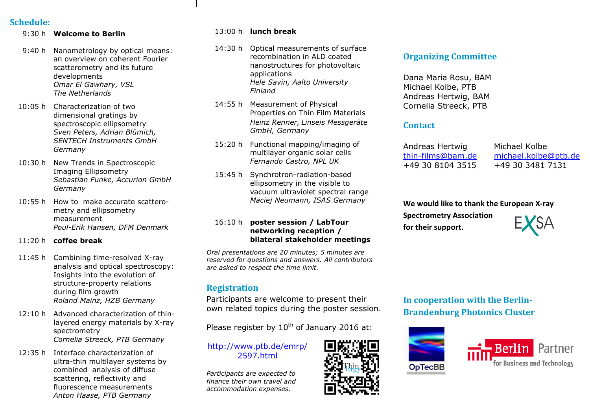## **Schedule:**

9:30 h **Welcome to Berlin** 

- 9:40 h Nanometrology by optical means: an overview on coherent Fourier scatterometry and its future developments *Omar El Gawhary, VSL The Netherlands*
- 10:05 h Characterization of two dimensional gratings by spectroscopic ellipsometry *Sven Peters, Adrian Blümich, SENTECH Instruments GmbH Germany*
- 10:30 h New Trends in Spectroscopic<br>———————————————————— Imaging Ellipsometry *Sebastian Funke, Accurion GmbH Germany*
- 10:55 h How to make accurate scatterometry and ellipsometry measurement *Poul-Erik Hansen, DFM Denmark*
- 11:20 h **coffee break**
- 11:45 h Combining time-resolved X-ray analysis and optical spectroscopy: Insights into the evolution of structure-property relations during film growth *Roland Mainz, HZB Germany*
- $12:10 h$  Advanced characterization of thinlayered energy materials by X-ray spectrometry *Cornelia Streeck, PTB Germany*
- 12:35 h Interface characterization of ultra-thin multilayer systems by combined analysis of diffuse scattering, reflectivity and fluorescence measurements *Anton Haase, PTB Germany*

# 13:00 h **lunch break**

- 14:30 h Optical measurements of surface recombination in ALD coated nanostructures for photovoltaic applications *Hele Savin, Aalto University Finland*
- 14:55 h Measurement of Physical Properties on Thin Film Materials *Heinz Renner, Linseis Messgeräte GmbH, Germany*
- 15:20 h Functional mapping/imaging of multilayer organic solar cells *Fernando Castro, NPL UK*
- 15:45 h Synchrotron-radiation-based ellipsometry in the visible to vacuum ultraviolet spectral range *Maciej Neumann, ISAS Germany*

#### 16:10 h **poster session / LabTour networking reception / bilateral stakeholder meetings**

*Oral presentations are 20 minutes; 5 minutes are reserved for questions and answers. All contributors are asked to respect the time limit.*

## **Registration**

Participants are welcome to present their own related topics during the poster session.

Please register by  $10^{th}$  of January 2016 at:

[http://www.ptb.de/emrp/](http://www.ptb.de/emrp/2597.html)2597.html

*Participants are expected to finance their own travel and accommodation expenses.*

## **Organizing Committee**

 Dana Maria Rosu, BAM Michael Kolbe, PTB Andreas Hertwig, BAM Cornelia Streeck, PTB

#### **Contact**

 Andreas Hertwig thin-films@bam.de+49 30 8104 3515

Michael Kolbe michael.kolbe@ptb.de+49 30 3481 7131

#### **We would like to thank the European X-ray**

**Spectrometry Association for their support.** 

**In cooperation with the Berlin-Brandenburg Photonics Cluster**